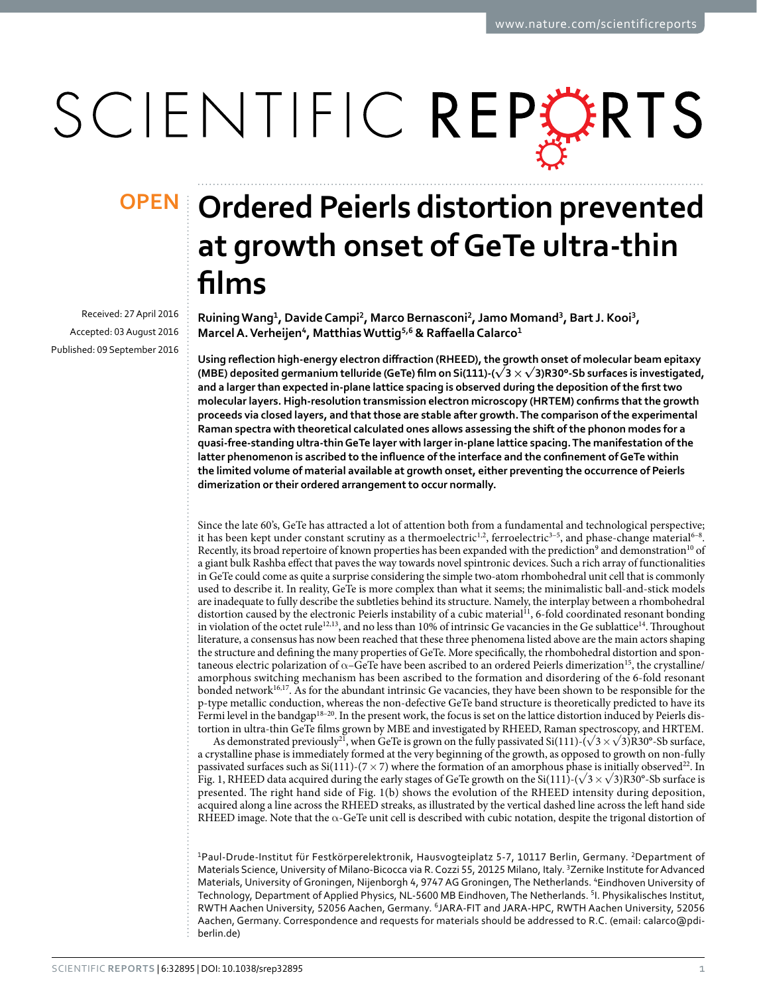# SCIENTIFIC REPORTS

Received: 27 April 2016 accepted: 03 August 2016 Published: 09 September 2016

## **OPEN** Ordered Peierls distortion prevented **at growth onset of GeTe ultra-thin films**

**RuiningWang<sup>1</sup>, DavideCampi2, Marco Bernasconi2, Jamo Momand3, Bart J. Kooi<sup>3</sup>, MarcelA.Verheijen<sup>4</sup>, MatthiasWuttig<sup>5</sup>,6 & Raffaella Calarco<sup>1</sup>**

**Using reflection high-energy electron diffraction (RHEED), the growth onset of molecular beam epitaxy (MBE) deposited germanium telluride (GeTe) film on Si(111)-(√3×√3)R30°-Sb surfaces is investigated, and a larger than expected in-plane lattice spacing is observed during the deposition of the first two molecular layers. High-resolution transmission electron microscopy (HRTEM) confirms that the growth proceeds via closed layers, and that those are stable after growth. The comparison of the experimental Raman spectra with theoretical calculated ones allows assessing the shift of the phonon modes for a quasi-free-standing ultra-thin GeTe layer with larger in-plane lattice spacing. The manifestation of the latter phenomenon is ascribed to the influence of the interface and the confinement of GeTe within the limited volume of material available at growth onset, either preventing the occurrence of Peierls dimerization or their ordered arrangement to occur normally.**

Since the late 60's, GeTe has attracted a lot of attention both from a fundamental and technological perspective; it has been kept under constant scrutiny as a thermoelectric<sup>1,2</sup>, ferroelectric<sup>3-5</sup>, and phase-change material<sup>6-8</sup>. Recently, its broad repertoire of known properties has been expanded with the prediction<sup>9</sup> and demonstration<sup>10</sup> of a giant bulk Rashba effect that paves the way towards novel spintronic devices. Such a rich array of functionalities in GeTe could come as quite a surprise considering the simple two-atom rhombohedral unit cell that is commonly used to describe it. In reality, GeTe is more complex than what it seems; the minimalistic ball-and-stick models are inadequate to fully describe the subtleties behind its structure. Namely, the interplay between a rhombohedral distortion caused by the electronic Peierls instability of a cubic material<sup>[11](#page-6-3)</sup>, 6-fold coordinated resonant bonding in violation of the octet rule<sup>[12](#page-6-4),[13](#page-6-5)</sup>, and no less than 10% of intrinsic Ge vacancies in the Ge sublattice<sup>14</sup>. Throughout literature, a consensus has now been reached that these three phenomena listed above are the main actors shaping the structure and defining the many properties of GeTe. More specifically, the rhombohedral distortion and spontaneous electric polarization of  $\alpha$ –GeTe have been ascribed to an ordered Peierls dimerization<sup>15</sup>, the crystalline/ amorphous switching mechanism has been ascribed to the formation and disordering of the 6-fold resonant bonded network[16,](#page-6-8)[17.](#page-6-9) As for the abundant intrinsic Ge vacancies, they have been shown to be responsible for the p-type metallic conduction, whereas the non-defective GeTe band structure is theoretically predicted to have its Fermi level in the bandgap<sup>18–20</sup>. In the present work, the focus is set on the lattice distortion induced by Peierls distortion in ultra-thin GeTe films grown by MBE and investigated by RHEED, Raman spectroscopy, and HRTEM.

As demonstrated previously<sup>[21](#page-6-11)</sup>, when GeTe is grown on the fully passivated Si(111)-( $\sqrt{3} \times \sqrt{3}$ )R30°-Sb surface, a crystalline phase is immediately formed at the very beginning of the growth, as opposed to growth on non-fully passivated surfaces such as Si(111)-(7  $\times$  7) where the formation of an amorphous phase is initially observed<sup>22</sup>. In [Fig. 1](#page-1-0), RHEED data acquired during the early stages of GeTe growth on the Si(111)-( $\sqrt{3} \times \sqrt{3}$ )R30°-Sb surface is presented. The right hand side of [Fig. 1\(b\)](#page-1-0) shows the evolution of the RHEED intensity during deposition, acquired along a line across the RHEED streaks, as illustrated by the vertical dashed line across the left hand side RHEED image. Note that the  $\alpha$ -GeTe unit cell is described with cubic notation, despite the trigonal distortion of

1Paul-Drude-Institut für Festkörperelektronik, Hausvogteiplatz 5-7, 10117 Berlin, Germany. 2Department of Materials Science, University of Milano-Bicocca via R. Cozzi 55, 20125 Milano, Italy. <sup>3</sup>Zernike Institute for Advanced Materials, University of Groningen, Nijenborgh 4, 9747 AG Groningen, The Netherlands. 'Eindhoven University of Technology, Department of Applied Physics, NL-5600 MB Eindhoven, The Netherlands. 5 I. Physikalisches Institut, RWTH Aachen University, 52056 Aachen, Germany. <sup>6</sup>JARA-FIT and JARA-HPC, RWTH Aachen University, 52056 Aachen, Germany. Correspondence and requests for materials should be addressed to R.C. (email: [calarco@pdi](mailto:calarco@pdi-berlin.de)[berlin.de\)](mailto:calarco@pdi-berlin.de)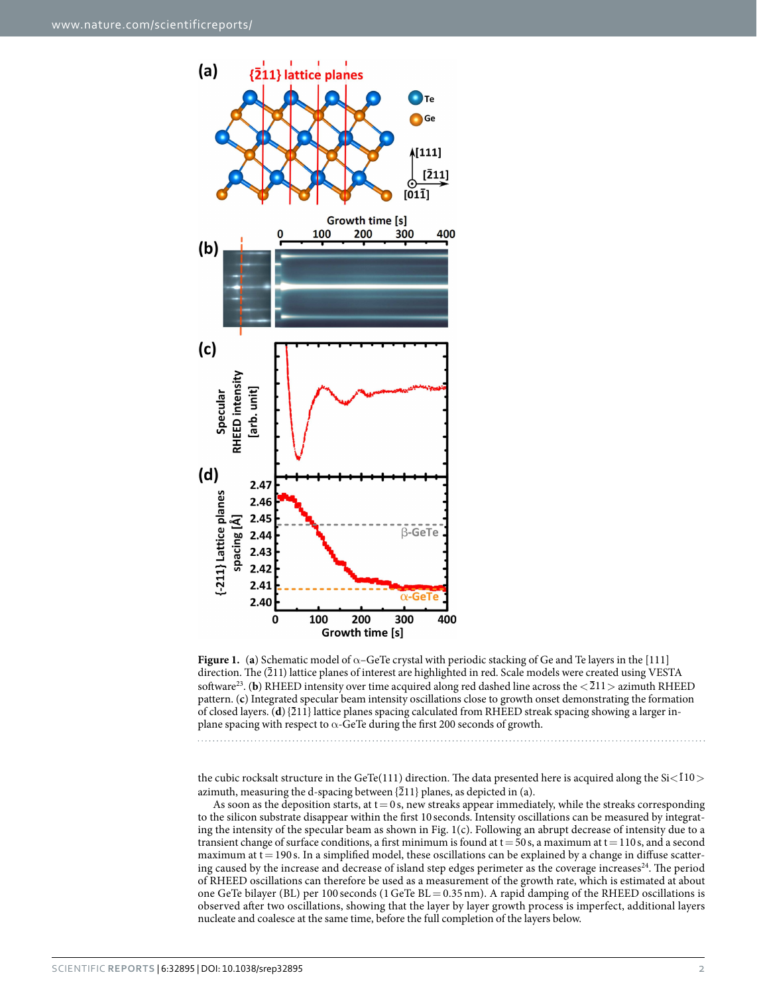

<span id="page-1-0"></span>**Figure 1.** (a) Schematic model of  $\alpha$ –GeTe crystal with periodic stacking of Ge and Te layers in the [111] direction. The (211) lattice planes of interest are highlighted in red. Scale models were created using VESTA software<sup>[23](#page-6-14)</sup>. (**b**) RHEED intensity over time acquired along red dashed line across the  $\langle 211 \rangle$  azimuth RHEED pattern. (**c**) Integrated specular beam intensity oscillations close to growth onset demonstrating the formation of closed layers. (**d**) {211} lattice planes spacing calculated from RHEED streak spacing showing a larger inplane spacing with respect to  $\alpha$ -GeTe during the first 200 seconds of growth.

the cubic rocksalt structure in the GeTe(111) direction. The data presented here is acquired along the  $Si<\overline{1}10>$ azimuth, measuring the d-spacing between  $\{211\}$  planes, as depicted in (a).

As soon as the deposition starts, at  $t = 0$  s, new streaks appear immediately, while the streaks corresponding to the silicon substrate disappear within the first 10 seconds. Intensity oscillations can be measured by integrating the intensity of the specular beam as shown in [Fig. 1\(c\).](#page-1-0) Following an abrupt decrease of intensity due to a transient change of surface conditions, a first minimum is found at  $t = 50$  s, a maximum at  $t = 110$  s, and a second maximum at  $t = 190$  s. In a simplified model, these oscillations can be explained by a change in diffuse scatter-ing caused by the increase and decrease of island step edges perimeter as the coverage increases<sup>[24](#page-6-13)</sup>. The period of RHEED oscillations can therefore be used as a measurement of the growth rate, which is estimated at about one GeTe bilayer (BL) per 100 seconds (1 GeTe BL = 0.35 nm). A rapid damping of the RHEED oscillations is observed after two oscillations, showing that the layer by layer growth process is imperfect, additional layers nucleate and coalesce at the same time, before the full completion of the layers below.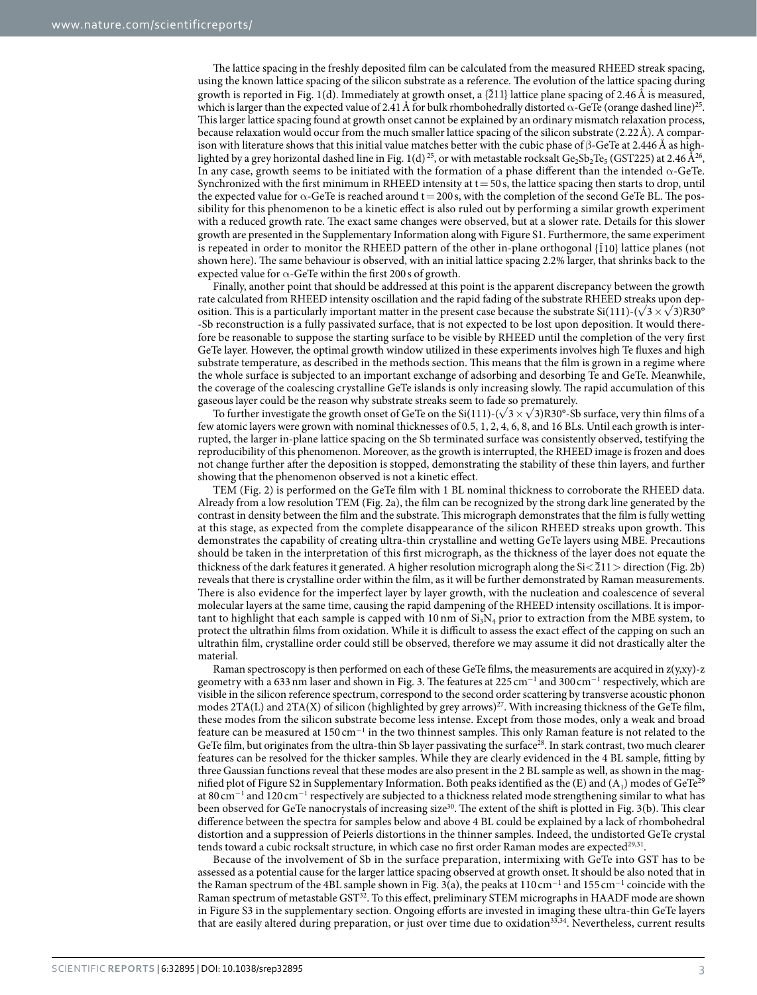The lattice spacing in the freshly deposited film can be calculated from the measured RHEED streak spacing, using the known lattice spacing of the silicon substrate as a reference. The evolution of the lattice spacing during growth is reported in [Fig. 1\(d\)](#page-1-0). Immediately at growth onset, a  $\{211\}$  lattice plane spacing of 2.46 Å is measured, which is larger than the expected value of 2.41 Å for bulk rhombohedrally distorted  $\alpha$ -GeTe (orange dashed line)<sup>25</sup>. This larger lattice spacing found at growth onset cannot be explained by an ordinary mismatch relaxation process, because relaxation would occur from the much smaller lattice spacing of the silicon substrate (2.22Å). A comparison with literature shows that this initial value matches better with the cubic phase of  $\beta$ -GeTe at 2.446Å as high-lighted by a grey horizontal dashed line in [Fig. 1\(d\)](#page-1-0)<sup>[25](#page-6-15)</sup>, or with metastable rocksalt Ge<sub>2</sub>Sb<sub>2</sub>Te<sub>5</sub> (GST225) at 2.46 Å<sup>26</sup>, In any case, growth seems to be initiated with the formation of a phase different than the intended  $\alpha$ -GeTe. Synchronized with the first minimum in RHEED intensity at  $t=50$  s, the lattice spacing then starts to drop, until the expected value for  $\alpha$ -GeTe is reached around t = 200 s, with the completion of the second GeTe BL. The possibility for this phenomenon to be a kinetic effect is also ruled out by performing a similar growth experiment with a reduced growth rate. The exact same changes were observed, but at a slower rate. Details for this slower growth are presented in the Supplementary Information along with Figure S1. Furthermore, the same experiment is repeated in order to monitor the RHEED pattern of the other in-plane orthogonal  $\{10\}$  lattice planes (not shown here). The same behaviour is observed, with an initial lattice spacing 2.2% larger, that shrinks back to the expected value for  $\alpha$ -GeTe within the first 200 s of growth.

Finally, another point that should be addressed at this point is the apparent discrepancy between the growth rate calculated from RHEED intensity oscillation and the rapid fading of the substrate RHEED streaks upon deposition. This is a particularly important matter in the present case because the substrate Si(111)-( $\sqrt{3} \times \sqrt{3}$ )R30° -Sb reconstruction is a fully passivated surface, that is not expected to be lost upon deposition. It would therefore be reasonable to suppose the starting surface to be visible by RHEED until the completion of the very first GeTe layer. However, the optimal growth window utilized in these experiments involves high Te fluxes and high substrate temperature, as described in the methods section. This means that the film is grown in a regime where the whole surface is subjected to an important exchange of adsorbing and desorbing Te and GeTe. Meanwhile, the coverage of the coalescing crystalline GeTe islands is only increasing slowly. The rapid accumulation of this gaseous layer could be the reason why substrate streaks seem to fade so prematurely.

To further investigate the growth onset of GeTe on the Si(111)-( $\sqrt{3} \times \sqrt{3}$ )R30°-Sb surface, very thin films of a few atomic layers were grown with nominal thicknesses of 0.5, 1, 2, 4, 6, 8, and 16 BLs. Until each growth is interrupted, the larger in-plane lattice spacing on the Sb terminated surface was consistently observed, testifying the reproducibility of this phenomenon. Moreover, as the growth is interrupted, the RHEED image is frozen and does not change further after the deposition is stopped, demonstrating the stability of these thin layers, and further showing that the phenomenon observed is not a kinetic effect.

TEM ([Fig. 2](#page-3-0)) is performed on the GeTe film with 1 BL nominal thickness to corroborate the RHEED data. Already from a low resolution TEM ([Fig. 2a](#page-3-0)), the film can be recognized by the strong dark line generated by the contrast in density between the film and the substrate. This micrograph demonstrates that the film is fully wetting at this stage, as expected from the complete disappearance of the silicon RHEED streaks upon growth. This demonstrates the capability of creating ultra-thin crystalline and wetting GeTe layers using MBE. Precautions should be taken in the interpretation of this first micrograph, as the thickness of the layer does not equate the thickness of the dark features it generated. A higher resolution micrograph along the  $Si < 211$  direction ([Fig. 2b\)](#page-3-0) reveals that there is crystalline order within the film, as it will be further demonstrated by Raman measurements. There is also evidence for the imperfect layer by layer growth, with the nucleation and coalescence of several molecular layers at the same time, causing the rapid dampening of the RHEED intensity oscillations. It is important to highlight that each sample is capped with 10 nm of  $Si<sub>3</sub>N<sub>4</sub>$  prior to extraction from the MBE system, to protect the ultrathin films from oxidation. While it is difficult to assess the exact effect of the capping on such an ultrathin film, crystalline order could still be observed, therefore we may assume it did not drastically alter the material.

Raman spectroscopy is then performed on each of these GeTe films, the measurements are acquired in z(y,xy)-z geometry with a 633 nm laser and shown in [Fig. 3](#page-4-0). The features at 225 cm $^{-1}$  and 300 cm $^{-1}$  respectively, which are visible in the silicon reference spectrum, correspond to the second order scattering by transverse acoustic phonon modes 2TA(L) and 2TA(X) of silicon (highlighted by grey arrows)<sup>27</sup>. With increasing thickness of the GeTe film, these modes from the silicon substrate become less intense. Except from those modes, only a weak and broad feature can be measured at 150 cm<sup>-1</sup> in the two thinnest samples. This only Raman feature is not related to the GeTe film, but originates from the ultra-thin Sb layer passivating the surface<sup>[28](#page-6-18)</sup>. In stark contrast, two much clearer features can be resolved for the thicker samples. While they are clearly evidenced in the 4 BL sample, fitting by three Gaussian functions reveal that these modes are also present in the 2 BL sample as well, as shown in the magnified plot of Figure S2 in Supplementary Information. Both peaks identified as the (E) and (A<sub>1</sub>) modes of GeTe<sup>29</sup> at 80 cm<sup>-1</sup> and 120 cm<sup>-1</sup> respectively are subjected to a thickness related mode strengthening similar to what has been observed for GeTe nanocrystals of increasing size<sup>[30](#page-6-20)</sup>. The extent of the shift is plotted in [Fig. 3\(b\)](#page-4-0). This clear difference between the spectra for samples below and above 4 BL could be explained by a lack of rhombohedral distortion and a suppression of Peierls distortions in the thinner samples. Indeed, the undistorted GeTe crystal tends toward a cubic rocksalt structure, in which case no first order Raman modes are expected<sup>[29,](#page-6-19)31</sup>.

Because of the involvement of Sb in the surface preparation, intermixing with GeTe into GST has to be assessed as a potential cause for the larger lattice spacing observed at growth onset. It should be also noted that in the Raman spectrum of the 4BL sample shown in [Fig. 3\(a\),](#page-4-0) the peaks at 110 cm<sup>-1</sup> and 155 cm<sup>-1</sup> coincide with the Raman spectrum of metastable GS[T32.](#page-6-22) To this effect, preliminary STEM micrographs in HAADF mode are shown in Figure S3 in the supplementary section. Ongoing efforts are invested in imaging these ultra-thin GeTe layers that are easily altered during preparation, or just over time due to oxidation<sup>[33,](#page-6-23)34</sup>. Nevertheless, current results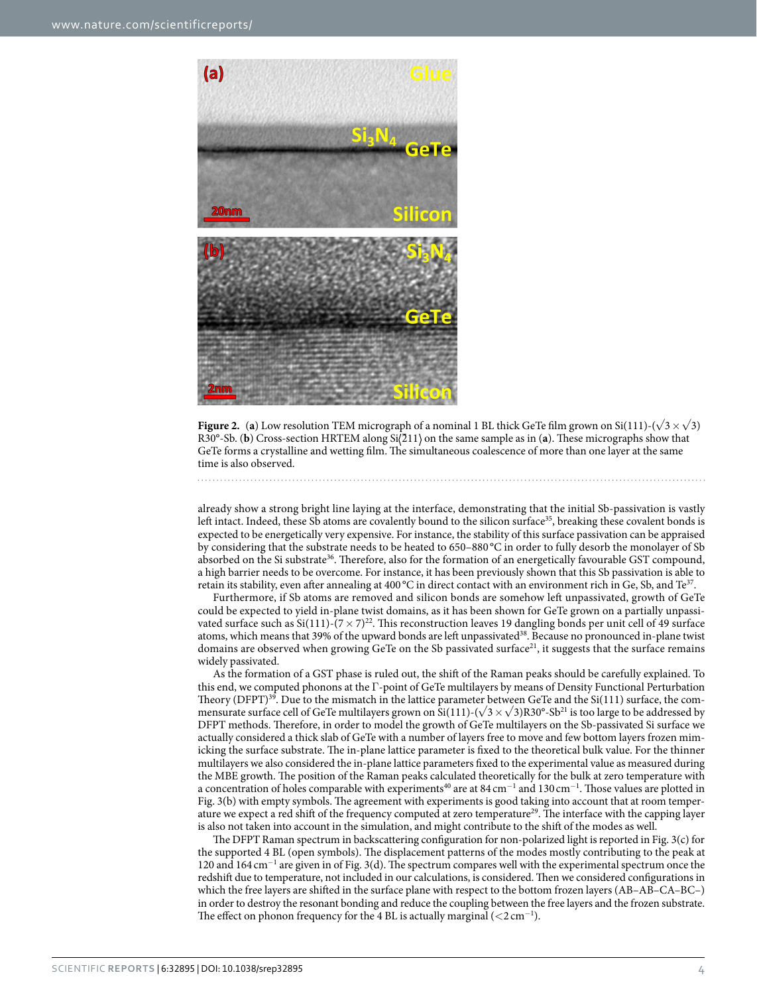

<span id="page-3-0"></span>**Figure 2.** (a) Low resolution TEM micrograph of a nominal 1 BL thick GeTe film grown on Si(111)-( $\sqrt{3} \times \sqrt{3}$ ) R30°-Sb. (**b**) Cross-section HRTEM along Si(211) on the same sample as in (**a**). These micrographs show that GeTe forms a crystalline and wetting film. The simultaneous coalescence of more than one layer at the same time is also observed.

already show a strong bright line laying at the interface, demonstrating that the initial Sb-passivation is vastly left intact. Indeed, these Sb atoms are covalently bound to the silicon surface<sup>35</sup>, breaking these covalent bonds is expected to be energetically very expensive. For instance, the stability of this surface passivation can be appraised by considering that the substrate needs to be heated to 650–880 °C in order to fully desorb the monolayer of Sb absorbed on the Si substrate<sup>36</sup>. Therefore, also for the formation of an energetically favourable GST compound, a high barrier needs to be overcome. For instance, it has been previously shown that this Sb passivation is able to retain its stability, even after annealing at 400 °C in direct contact with an environment rich in Ge, Sb, and Te<sup>37</sup>.

Furthermore, if Sb atoms are removed and silicon bonds are somehow left unpassivated, growth of GeTe could be expected to yield in-plane twist domains, as it has been shown for GeTe grown on a partially unpassivated surface such as  $Si(111)-(7\times7)^{22}$ . This reconstruction leaves 19 dangling bonds per unit cell of 49 surface atoms, which means that 39% of the upward bonds are left unpassivated<sup>38</sup>. Because no pronounced in-plane twist domains are observed when growing GeTe on the Sb passivated surface<sup>[21](#page-6-11)</sup>, it suggests that the surface remains widely passivated.

As the formation of a GST phase is ruled out, the shift of the Raman peaks should be carefully explained. To this end, we computed phonons at the Γ-point of GeTe multilayers by means of Density Functional Perturbation Theory (DFPT)<sup>39</sup>. Due to the mismatch in the lattice parameter between GeTe and the  $Si(111)$  surface, the commensurate surface cell of GeTe multilayers grown on Si(111)-( $\sqrt{3} \times \sqrt{3}$ )R30°-Sb<sup>21</sup> is too large to be addressed by DFPT methods. Therefore, in order to model the growth of GeTe multilayers on the Sb-passivated Si surface we actually considered a thick slab of GeTe with a number of layers free to move and few bottom layers frozen mimicking the surface substrate. The in-plane lattice parameter is fixed to the theoretical bulk value. For the thinner multilayers we also considered the in-plane lattice parameters fixed to the experimental value as measured during the MBE growth. The position of the Raman peaks calculated theoretically for the bulk at zero temperature with a concentration of holes comparable with experiments<sup>40</sup> are at  $84 \text{ cm}^{-1}$  and  $130 \text{ cm}^{-1}$ . Those values are plotted in [Fig. 3\(b\)](#page-4-0) with empty symbols. The agreement with experiments is good taking into account that at room temper-ature we expect a red shift of the frequency computed at zero temperature<sup>[29](#page-6-19)</sup>. The interface with the capping layer is also not taken into account in the simulation, and might contribute to the shift of the modes as well.

The DFPT Raman spectrum in backscattering configuration for non-polarized light is reported in [Fig. 3\(c\)](#page-4-0) for the supported 4 BL (open symbols). The displacement patterns of the modes mostly contributing to the peak at 120 and 164 cm<sup>−</sup><sup>1</sup> are given in of [Fig. 3\(d\).](#page-4-0) The spectrum compares well with the experimental spectrum once the redshift due to temperature, not included in our calculations, is considered. Then we considered configurations in which the free layers are shifted in the surface plane with respect to the bottom frozen layers (AB–AB–CA–BC–) in order to destroy the resonant bonding and reduce the coupling between the free layers and the frozen substrate. The effect on phonon frequency for the 4 BL is actually marginal  $(<$ 2 cm<sup>-1</sup>).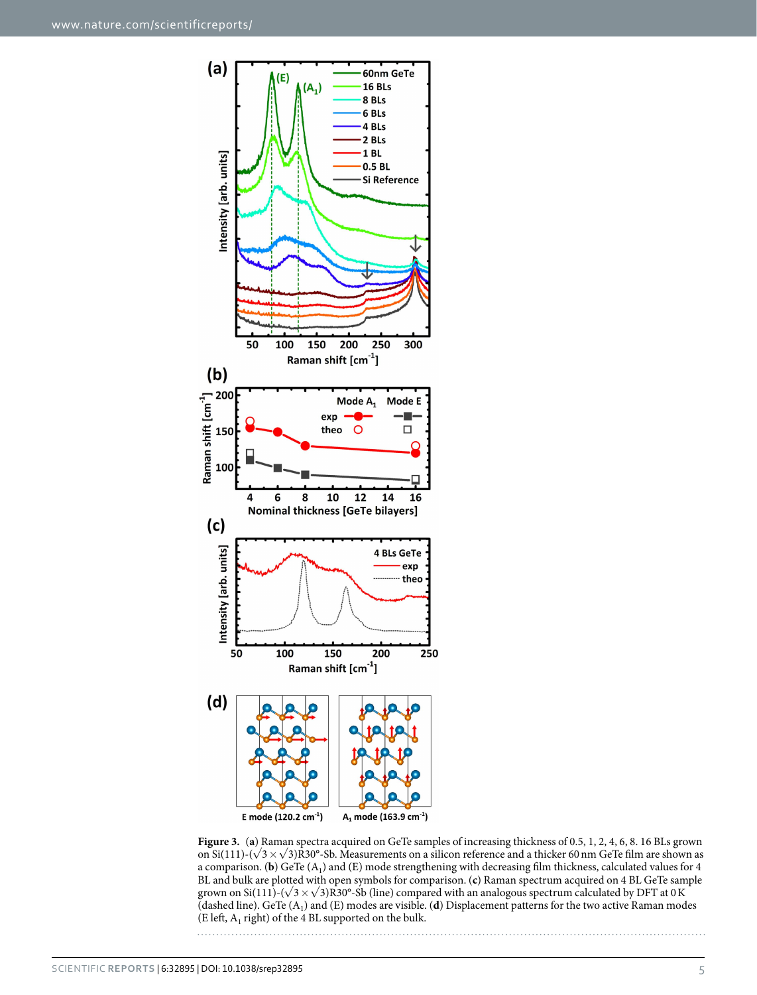

<span id="page-4-0"></span>**Figure 3.** (**a**) Raman spectra acquired on GeTe samples of increasing thickness of 0.5, 1, 2, 4, 6, 8. 16 BLs grown on Si(111)-( $\sqrt{3} \times \sqrt{3}$ )R30°-Sb. Measurements on a silicon reference and a thicker 60 nm GeTe film are shown as a comparison. (**b**) GeTe  $(A_1)$  and  $(E)$  mode strengthening with decreasing film thickness, calculated values for 4 BL and bulk are plotted with open symbols for comparison. (**c**) Raman spectrum acquired on 4 BL GeTe sample grown on Si(111)-( $\sqrt{3}\times\sqrt{3}$ )R30°-Sb (line) compared with an analogous spectrum calculated by DFT at 0K (dashed line). GeTe (A1) and (E) modes are visible. (**d**) Displacement patterns for the two active Raman modes (E left,  $A_1$  right) of the 4 BL supported on the bulk.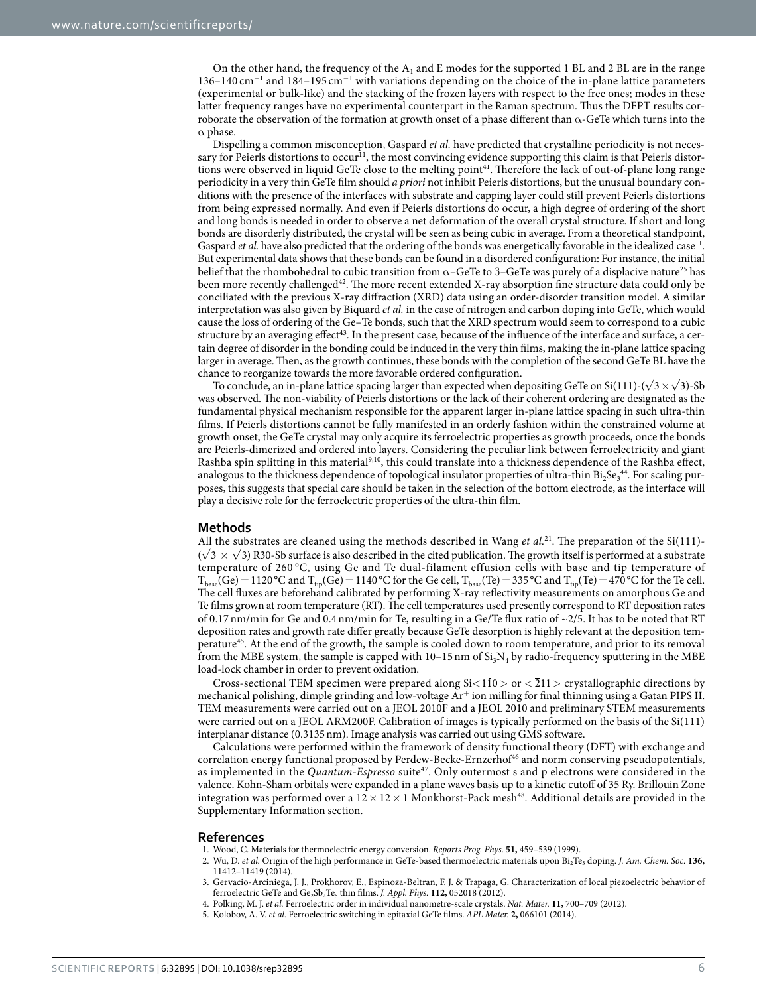On the other hand, the frequency of the  $A_1$  and E modes for the supported 1 BL and 2 BL are in the range 136–140 cm<sup>-1</sup> and 184–195 cm<sup>-1</sup> with variations depending on the choice of the in-plane lattice parameters (experimental or bulk-like) and the stacking of the frozen layers with respect to the free ones; modes in these latter frequency ranges have no experimental counterpart in the Raman spectrum. Thus the DFPT results corroborate the observation of the formation at growth onset of a phase different than  $\alpha$ -GeTe which turns into the  $\alpha$  phase.

Dispelling a common misconception, Gaspard *et al.* have predicted that crystalline periodicity is not necessary for Peierls distortions to occur<sup>11</sup>, the most convincing evidence supporting this claim is that Peierls distortions were observed in liquid GeTe close to the melting point<sup>41</sup>. Therefore the lack of out-of-plane long range periodicity in a very thin GeTe film should *a priori* not inhibit Peierls distortions, but the unusual boundary conditions with the presence of the interfaces with substrate and capping layer could still prevent Peierls distortions from being expressed normally. And even if Peierls distortions do occur, a high degree of ordering of the short and long bonds is needed in order to observe a net deformation of the overall crystal structure. If short and long bonds are disorderly distributed, the crystal will be seen as being cubic in average. From a theoretical standpoint, Gaspard *et al.* have also predicted that the ordering of the bonds was energetically favorable in the idealized case<sup>11</sup>. But experimental data shows that these bonds can be found in a disordered configuration: For instance, the initial belief that the rhombohedral to cubic transition from  $\alpha$ –GeTe to  $\beta$ –GeTe was purely of a displacive nature<sup>25</sup> has been more recently challenged<sup>[42](#page-6-32)</sup>. The more recent extended X-ray absorption fine structure data could only be conciliated with the previous X-ray diffraction (XRD) data using an order-disorder transition model. A similar interpretation was also given by Biquard *et al.* in the case of nitrogen and carbon doping into GeTe, which would cause the loss of ordering of the Ge–Te bonds, such that the XRD spectrum would seem to correspond to a cubic structure by an averaging effect<sup>43</sup>. In the present case, because of the influence of the interface and surface, a certain degree of disorder in the bonding could be induced in the very thin films, making the in-plane lattice spacing larger in average. Then, as the growth continues, these bonds with the completion of the second GeTe BL have the chance to reorganize towards the more favorable ordered configuration.

To conclude, an in-plane lattice spacing larger than expected when depositing GeTe on Si(111)-( $\sqrt{3} \times \sqrt{3}$ )-Sb was observed. The non-viability of Peierls distortions or the lack of their coherent ordering are designated as the fundamental physical mechanism responsible for the apparent larger in-plane lattice spacing in such ultra-thin films. If Peierls distortions cannot be fully manifested in an orderly fashion within the constrained volume at growth onset, the GeTe crystal may only acquire its ferroelectric properties as growth proceeds, once the bonds are Peierls-dimerized and ordered into layers. Considering the peculiar link between ferroelectricity and giant Rashba spin splitting in this material[9,](#page-6-1)[10,](#page-6-2) this could translate into a thickness dependence of the Rashba effect, analogous to the thickness dependence of topological insulator properties of ultra-thin  $Bi_2Se_3^{44}$ . For scaling purposes, this suggests that special care should be taken in the selection of the bottom electrode, as the interface will play a decisive role for the ferroelectric properties of the ultra-thin film.

#### **Methods**

All the substrates are cleaned using the methods described in Wang *et al.*[21](#page-6-11). The preparation of the Si(111)-  $(\sqrt{3} \times \sqrt{3})$  R30-Sb surface is also described in the cited publication. The growth itself is performed at a substrate temperature of 260 °C, using Ge and Te dual-filament effusion cells with base and tip temperature of  $T_{\text{base}}(Ge) = 1120 \text{ °C}$  and  $T_{\text{tip}}(Ge) = 1140 \text{ °C}$  for the Ge cell,  $T_{\text{base}}(Te) = 335 \text{ °C}$  and  $T_{\text{tip}}(Te) = 470 \text{ °C}$  for the Te cell. The cell fluxes are beforehand calibrated by performing X-ray reflectivity measurements on amorphous Ge and Te films grown at room temperature (RT). The cell temperatures used presently correspond to RT deposition rates of 0.17 nm/min for Ge and 0.4 nm/min for Te, resulting in a Ge/Te flux ratio of  $\sim$ 2/5. It has to be noted that RT deposition rates and growth rate differ greatly because GeTe desorption is highly relevant at the deposition temperatur[e45](#page-6-35). At the end of the growth, the sample is cooled down to room temperature, and prior to its removal from the MBE system, the sample is capped with  $10-15$  nm of  $Si<sub>3</sub>N<sub>4</sub>$  by radio-frequency sputtering in the MBE load-lock chamber in order to prevent oxidation.

Cross-sectional TEM specimen were prepared along Si<110> or < 211> crystallographic directions by mechanical polishing, dimple grinding and low-voltage Ar<sup>+</sup> ion milling for final thinning using a Gatan PIPS II. TEM measurements were carried out on a JEOL 2010F and a JEOL 2010 and preliminary STEM measurements were carried out on a JEOL ARM200F. Calibration of images is typically performed on the basis of the Si(111) interplanar distance (0.3135nm). Image analysis was carried out using GMS software.

Calculations were performed within the framework of density functional theory (DFT) with exchange and correlation energy functional proposed by Perdew-Becke-Ernzerhof<sup>[46](#page-6-36)</sup> and norm conserving pseudopotentials, as implemented in the *Quantum-Espresso* suit[e47.](#page-6-37) Only outermost s and p electrons were considered in the valence. Kohn-Sham orbitals were expanded in a plane waves basis up to a kinetic cutoff of 35 Ry. Brillouin Zone integration was performed over a  $12 \times 12 \times 1$  Monkhorst-Pack mesh<sup>48</sup>. Additional details are provided in the Supplementary Information section.

#### **References**

- <span id="page-5-0"></span>1. Wood, C. Materials for thermoelectric energy conversion. *Reports Prog. Phys*. **51,** 459–539 (1999).
- <span id="page-5-1"></span>2. Wu, D. *et al.* Origin of the high performance in GeTe-based thermoelectric materials upon Bi2Te3 doping. *J. Am. Chem. Soc.* **136,** 11412–11419 (2014).
- <span id="page-5-2"></span>3. Gervacio-Arciniega, J. J., Prokhorov, E., Espinoza-Beltran, F. J. & Trapaga, G. Characterization of local piezoelectric behavior of ferroelectric GeTe and Ge<sub>2</sub>Sb<sub>2</sub>Te<sub>5</sub> thin films. *J. Appl. Phys.* **112**, 052018 (2012).
- 4. Polking, M. J. *et al.* Ferroelectric order in individual nanometre-scale crystals. *Nat. Mater.* **11,** 700–709 (2012).
- 5. Kolobov, A. V. *et al.* Ferroelectric switching in epitaxial GeTe films. *APL Mater.* **2,** 066101 (2014).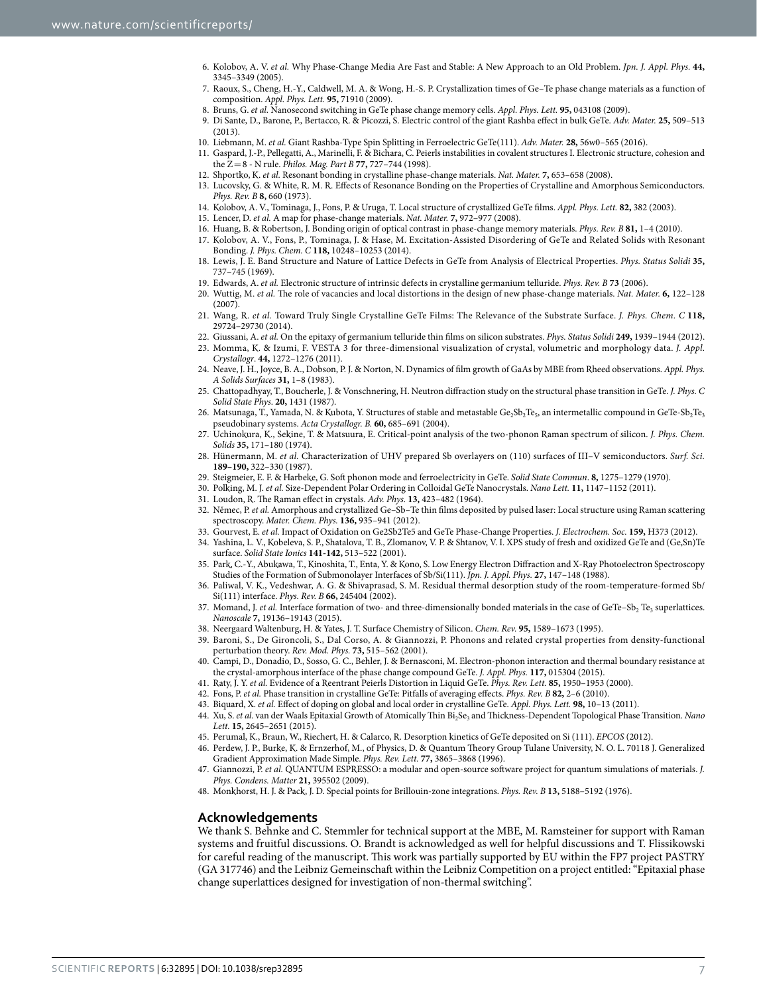- <span id="page-6-0"></span>6. Kolobov, A. V. *et al.* Why Phase-Change Media Are Fast and Stable: A New Approach to an Old Problem. *Jpn. J. Appl. Phys.* **44,** 3345–3349 (2005).
- 7. Raoux, S., Cheng, H.-Y., Caldwell, M. A. & Wong, H.-S. P. Crystallization times of Ge–Te phase change materials as a function of composition. *Appl. Phys. Lett.* **95,** 71910 (2009).
- <span id="page-6-1"></span>8. Bruns, G. *et al.* Nanosecond switching in GeTe phase change memory cells. *Appl. Phys. Lett.* **95,** 043108 (2009).
- 9. Di Sante, D., Barone, P., Bertacco, R. & Picozzi, S. Electric control of the giant Rashba effect in bulk GeTe. *Adv. Mater.* **25,** 509–513  $(2013)$
- <span id="page-6-2"></span>10. Liebmann, M. *et al.* Giant Rashba-Type Spin Splitting in Ferroelectric GeTe(111). *Adv. Mater.* **28,** 56w0–565 (2016).
- <span id="page-6-3"></span>11. Gaspard, J.-P., Pellegatti, A., Marinelli, F. & Bichara, C. Peierls instabilities in covalent structures I. Electronic structure, cohesion and the  $Z=8$  - N rule. *Philos. Mag. Part B* 77, 727–744 (1998).
- <span id="page-6-4"></span>12. Shportko, K. *et al.* Resonant bonding in crystalline phase-change materials. *Nat. Mater.* **7,** 653–658 (2008).
- <span id="page-6-5"></span>13. Lucovsky, G. & White, R. M. R. Effects of Resonance Bonding on the Properties of Crystalline and Amorphous Semiconductors. *Phys. Rev. B* **8,** 660 (1973).
- <span id="page-6-6"></span>14. Kolobov, A. V., Tominaga, J., Fons, P. & Uruga, T. Local structure of crystallized GeTe films. *Appl. Phys. Lett.* **82,** 382 (2003).
- <span id="page-6-7"></span>15. Lencer, D. *et al.* A map for phase-change materials. *Nat. Mater.* **7,** 972–977 (2008).
- <span id="page-6-8"></span>16. Huang, B. & Robertson, J. Bonding origin of optical contrast in phase-change memory materials. *Phys. Rev. B* **81,** 1–4 (2010).
- <span id="page-6-9"></span>17. Kolobov, A. V., Fons, P., Tominaga, J. & Hase, M. Excitation-Assisted Disordering of GeTe and Related Solids with Resonant Bonding. *J. Phys. Chem. C* **118,** 10248–10253 (2014).
- <span id="page-6-10"></span>18. Lewis, J. E. Band Structure and Nature of Lattice Defects in GeTe from Analysis of Electrical Properties. *Phys. Status Solidi* **35,** 737–745 (1969).
- 19. Edwards, A. *et al.* Electronic structure of intrinsic defects in crystalline germanium telluride. *Phys. Rev. B* **73** (2006).
- 20. Wuttig, M. *et al.* The role of vacancies and local distortions in the design of new phase-change materials. *Nat. Mater.* **6,** 122–128 (2007).
- <span id="page-6-11"></span>21. Wang, R. *et al.* Toward Truly Single Crystalline GeTe Films: The Relevance of the Substrate Surface. *J. Phys. Chem. C* **118,** 29724–29730 (2014).
- <span id="page-6-12"></span>22. Giussani, A. *et al.* On the epitaxy of germanium telluride thin films on silicon substrates. *Phys. Status Solidi* **249,** 1939–1944 (2012).
- <span id="page-6-14"></span>23. Momma, K. & Izumi, F. VESTA 3 for three-dimensional visualization of crystal, volumetric and morphology data. *J. Appl. Crystallogr*. **44,** 1272–1276 (2011).
- <span id="page-6-13"></span>24. Neave, J. H., Joyce, B. A., Dobson, P. J. & Norton, N. Dynamics of film growth of GaAs by MBE from Rheed observations. *Appl. Phys. A Solids Surfaces* **31,** 1–8 (1983).
- <span id="page-6-15"></span>25. Chattopadhyay, T., Boucherle, J. & Vonschnering, H. Neutron diffraction study on the structural phase transition in GeTe. *J. Phys. C Solid State Phys*. **20,** 1431 (1987).
- <span id="page-6-16"></span>26. Matsunaga, T., Yamada, N. & Kubota, Y. Structures of stable and metastable Ge<sub>2</sub>Sb<sub>2</sub>Te<sub>5</sub>, an intermetallic compound in GeTe-Sb<sub>2</sub>Te<sub>3</sub> pseudobinary systems. *Acta Crystallogr. B.* **60,** 685–691 (2004).
- <span id="page-6-17"></span>27. Uchinokura, K., Sekine, T. & Matsuura, E. Critical-point analysis of the two-phonon Raman spectrum of silicon. *J. Phys. Chem. Solids* **35,** 171–180 (1974).
- <span id="page-6-18"></span>28. Hünermann, M. *et al.* Characterization of UHV prepared Sb overlayers on (110) surfaces of III–V semiconductors. *Surf. Sci.* **189–190,** 322–330 (1987).
- <span id="page-6-19"></span>29. Steigmeier, E. F. & Harbeke, G. Soft phonon mode and ferroelectricity in GeTe. *Solid State Commun*. **8,** 1275–1279 (1970).
- <span id="page-6-20"></span>30. Polking, M. J. *et al.* Size-Dependent Polar Ordering in Colloidal GeTe Nanocrystals. *Nano Lett.* **11,** 1147–1152 (2011).
- <span id="page-6-21"></span>31. Loudon, R. The Raman effect in crystals. *Adv. Phys.* **13,** 423–482 (1964).
- <span id="page-6-22"></span>32. Němec, P. *et al.* Amorphous and crystallized Ge–Sb–Te thin films deposited by pulsed laser: Local structure using Raman scattering spectroscopy. *Mater. Chem. Phys.* **136,** 935–941 (2012).
- <span id="page-6-23"></span>33. Gourvest, E. *et al.* Impact of Oxidation on Ge2Sb2Te5 and GeTe Phase-Change Properties. *J. Electrochem. Soc.* **159,** H373 (2012).
- <span id="page-6-24"></span>34. Yashina, L. V., Kobeleva, S. P., Shatalova, T. B., Zlomanov, V. P. & Shtanov, V. I. XPS study of fresh and oxidized GeTe and (Ge,Sn)Te surface. *Solid State Ionics* **141-142,** 513–522 (2001).
- <span id="page-6-25"></span>35. Park, C.-Y., Abukawa, T., Kinoshita, T., Enta, Y. & Kono, S. Low Energy Electron Diffraction and X-Ray Photoelectron Spectroscopy Studies of the Formation of Submonolayer Interfaces of Sb/Si(111). *Jpn. J. Appl. Phys.* **27,** 147–148 (1988).
- <span id="page-6-26"></span>36. Paliwal, V. K., Vedeshwar, A. G. & Shivaprasad, S. M. Residual thermal desorption study of the room-temperature-formed Sb/ Si(111) interface. *Phys. Rev. B* **66,** 245404 (2002).
- <span id="page-6-27"></span>37. Momand, J. *et al.* Interface formation of two- and three-dimensionally bonded materials in the case of GeTe–Sb<sub>2</sub> Te<sub>3</sub> superlattices. *Nanoscale* **7,** 19136–19143 (2015).
- <span id="page-6-28"></span>38. Neergaard Waltenburg, H. & Yates, J. T. Surface Chemistry of Silicon. *Chem. Rev.* **95,** 1589–1673 (1995).
- <span id="page-6-29"></span>39. Baroni, S., De Gironcoli, S., Dal Corso, A. & Giannozzi, P. Phonons and related crystal properties from density-functional perturbation theory. *Rev. Mod. Phys.* **73,** 515–562 (2001).
- <span id="page-6-30"></span>40. Campi, D., Donadio, D., Sosso, G. C., Behler, J. & Bernasconi, M. Electron-phonon interaction and thermal boundary resistance at the crystal-amorphous interface of the phase change compound GeTe. *J. Appl. Phys.* **117,** 015304 (2015).
- <span id="page-6-31"></span>41. Raty, J. Y. *et al.* Evidence of a Reentrant Peierls Distortion in Liquid GeTe. *Phys. Rev. Lett.* **85,** 1950–1953 (2000).
- <span id="page-6-32"></span>42. Fons, P. *et al.* Phase transition in crystalline GeTe: Pitfalls of averaging effects. *Phys. Rev. B* **82,** 2–6 (2010).
- <span id="page-6-33"></span>43. Biquard, X. *et al.* Effect of doping on global and local order in crystalline GeTe. *Appl. Phys. Lett.* **98,** 10–13 (2011).
- <span id="page-6-34"></span>44. Xu, S. et al. van der Waals Epitaxial Growth of Atomically Thin Bi<sub>2</sub>Se<sub>3</sub> and Thickness-Dependent Topological Phase Transition. *Nano Lett.* **15,** 2645–2651 (2015).
- <span id="page-6-35"></span>45. Perumal, K., Braun, W., Riechert, H. & Calarco, R. Desorption kinetics of GeTe deposited on Si (111). *EPCOS* (2012).
- <span id="page-6-36"></span>46. Perdew, J. P., Burke, K. & Ernzerhof, M., of Physics, D. & Quantum Theory Group Tulane University, N. O. L. 70118 J. Generalized Gradient Approximation Made Simple. *Phys. Rev. Lett.* **77,** 3865–3868 (1996).
- <span id="page-6-37"></span>47. Giannozzi, P. *et al.* QUANTUM ESPRESSO: a modular and open-source software project for quantum simulations of materials. *J. Phys. Condens. Matter* **21,** 395502 (2009).
- <span id="page-6-38"></span>48. Monkhorst, H. J. & Pack, J. D. Special points for Brillouin-zone integrations. *Phys. Rev. B* **13,** 5188–5192 (1976).

### **Acknowledgements**

We thank S. Behnke and C. Stemmler for technical support at the MBE, M. Ramsteiner for support with Raman systems and fruitful discussions. O. Brandt is acknowledged as well for helpful discussions and T. Flissikowski for careful reading of the manuscript. This work was partially supported by EU within the FP7 project PASTRY (GA 317746) and the Leibniz Gemeinschaft within the Leibniz Competition on a project entitled: "Epitaxial phase change superlattices designed for investigation of non-thermal switching".